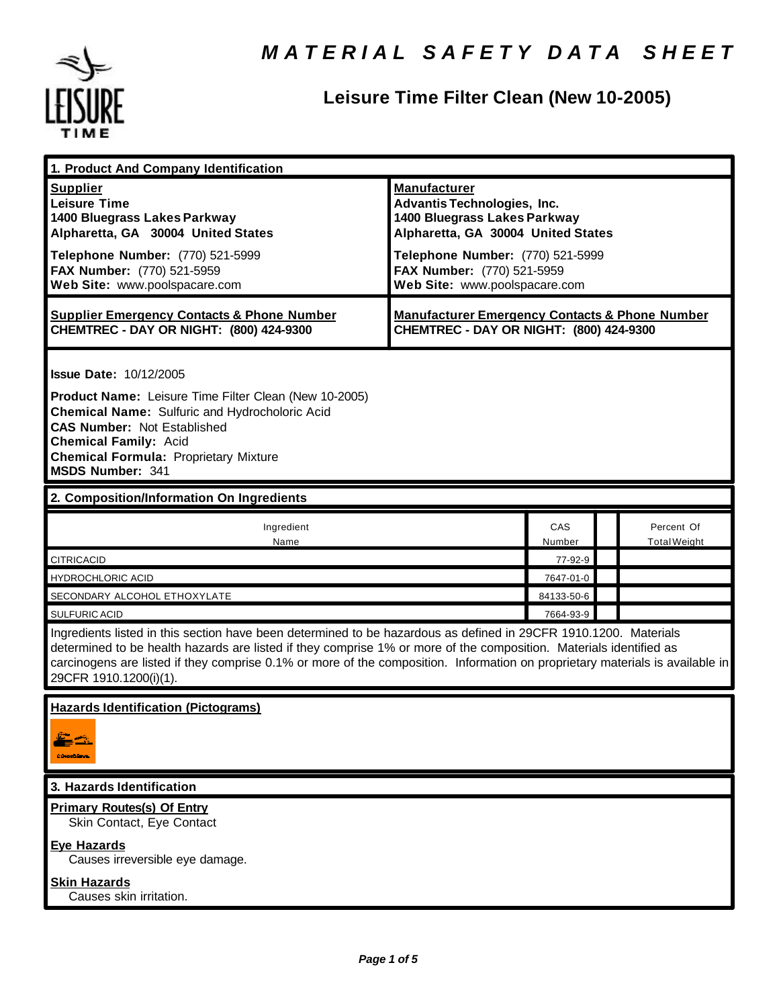

# **Leisure Time Filter Clean (New 10-2005)**

| 1. Product And Company Identification                                                                                                                                                                                                                                                                                                                                                                                     |                                                                                                                                                                                                                                    |                         |                                   |
|---------------------------------------------------------------------------------------------------------------------------------------------------------------------------------------------------------------------------------------------------------------------------------------------------------------------------------------------------------------------------------------------------------------------------|------------------------------------------------------------------------------------------------------------------------------------------------------------------------------------------------------------------------------------|-------------------------|-----------------------------------|
| <b>Supplier</b><br><b>Leisure Time</b><br>1400 Bluegrass Lakes Parkway<br>Alpharetta, GA 30004 United States<br>Telephone Number: (770) 521-5999<br>FAX Number: (770) 521-5959<br>Web Site: www.poolspacare.com                                                                                                                                                                                                           | <b>Manufacturer</b><br><b>Advantis Technologies, Inc.</b><br>1400 Bluegrass Lakes Parkway<br>Alpharetta, GA 30004 United States<br>Telephone Number: (770) 521-5999<br>FAX Number: (770) 521-5959<br>Web Site: www.poolspacare.com |                         |                                   |
| <b>Supplier Emergency Contacts &amp; Phone Number</b><br>CHEMTREC - DAY OR NIGHT: (800) 424-9300                                                                                                                                                                                                                                                                                                                          | <b>Manufacturer Emergency Contacts &amp; Phone Number</b><br>CHEMTREC - DAY OR NIGHT: (800) 424-9300                                                                                                                               |                         |                                   |
| <b>Issue Date: 10/12/2005</b><br>Product Name: Leisure Time Filter Clean (New 10-2005)<br><b>Chemical Name: Sulfuric and Hydrocholoric Acid</b><br><b>CAS Number: Not Established</b><br><b>Chemical Family: Acid</b><br><b>Chemical Formula: Proprietary Mixture</b><br><b>MSDS Number: 341</b>                                                                                                                          |                                                                                                                                                                                                                                    |                         |                                   |
| 2. Composition/Information On Ingredients                                                                                                                                                                                                                                                                                                                                                                                 |                                                                                                                                                                                                                                    |                         |                                   |
| Ingredient<br>Name                                                                                                                                                                                                                                                                                                                                                                                                        |                                                                                                                                                                                                                                    | CAS<br>Number           | Percent Of<br><b>Total Weight</b> |
| <b>CITRICACID</b>                                                                                                                                                                                                                                                                                                                                                                                                         |                                                                                                                                                                                                                                    | 77-92-9                 |                                   |
| <b>HYDROCHLORIC ACID</b>                                                                                                                                                                                                                                                                                                                                                                                                  |                                                                                                                                                                                                                                    | 7647-01-0<br>84133-50-6 |                                   |
| SECONDARY ALCOHOL ETHOXYLATE                                                                                                                                                                                                                                                                                                                                                                                              |                                                                                                                                                                                                                                    | 7664-93-9               |                                   |
| <b>SULFURIC ACID</b><br>Ingredients listed in this section have been determined to be hazardous as defined in 29CFR 1910.1200. Materials<br>determined to be health hazards are listed if they comprise 1% or more of the composition. Materials identified as<br>carcinogens are listed if they comprise 0.1% or more of the composition. Information on proprietary materials is available in<br>29CFR 1910.1200(i)(1). |                                                                                                                                                                                                                                    |                         |                                   |
| <b>Hazards Identification (Pictograms)</b><br><b>Chart Lave</b>                                                                                                                                                                                                                                                                                                                                                           |                                                                                                                                                                                                                                    |                         |                                   |
| 3. Hazards Identification                                                                                                                                                                                                                                                                                                                                                                                                 |                                                                                                                                                                                                                                    |                         |                                   |
| <b>Primary Routes(s) Of Entry</b><br>Skin Contact, Eye Contact<br><b>Eye Hazards</b><br>Causes irreversible eye damage.<br><b>Skin Hazards</b>                                                                                                                                                                                                                                                                            |                                                                                                                                                                                                                                    |                         |                                   |
| Causes skin irritation.                                                                                                                                                                                                                                                                                                                                                                                                   |                                                                                                                                                                                                                                    |                         |                                   |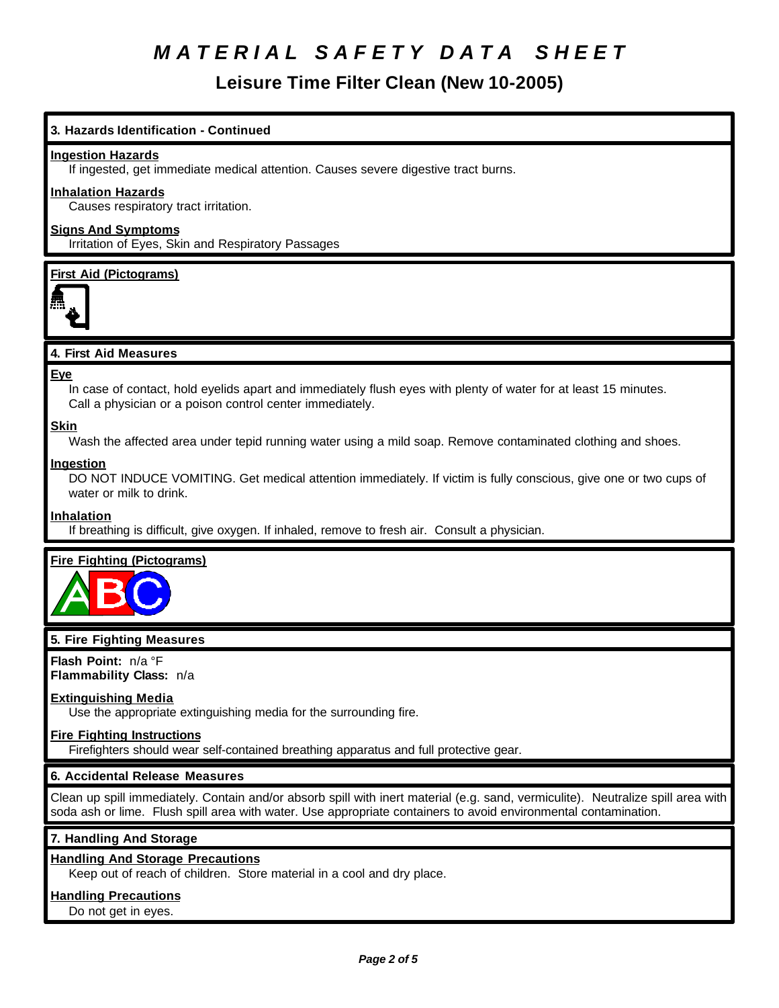# **Leisure Time Filter Clean (New 10-2005)**

# **3. Hazards Identification - Continued**

### **Ingestion Hazards**

If ingested, get immediate medical attention. Causes severe digestive tract burns.

# **Inhalation Hazards**

Causes respiratory tract irritation.

# **Signs And Symptoms**

Irritation of Eyes, Skin and Respiratory Passages

### **First Aid (Pictograms)**



# **4. First Aid Measures**

#### **Eye**

In case of contact, hold eyelids apart and immediately flush eyes with plenty of water for at least 15 minutes. Call a physician or a poison control center immediately.

### **Skin**

Wash the affected area under tepid running water using a mild soap. Remove contaminated clothing and shoes.

#### **Ingestion**

DO NOT INDUCE VOMITING. Get medical attention immediately. If victim is fully conscious, give one or two cups of water or milk to drink.

# **Inhalation**

If breathing is difficult, give oxygen. If inhaled, remove to fresh air. Consult a physician.

# **Fire Fighting (Pictograms)**



# **5. Fire Fighting Measures**

**Flash Point:** n/a °F **Flammability Class:** n/a

#### **Extinguishing Media**

Use the appropriate extinguishing media for the surrounding fire.

# **Fire Fighting Instructions**

Firefighters should wear self-contained breathing apparatus and full protective gear.

# **6. Accidental Release Measures**

Clean up spill immediately. Contain and/or absorb spill with inert material (e.g. sand, vermiculite). Neutralize spill area with soda ash or lime. Flush spill area with water. Use appropriate containers to avoid environmental contamination.

# **7. Handling And Storage**

# **Handling And Storage Precautions**

Keep out of reach of children. Store material in a cool and dry place.

# **Handling Precautions**

Do not get in eyes.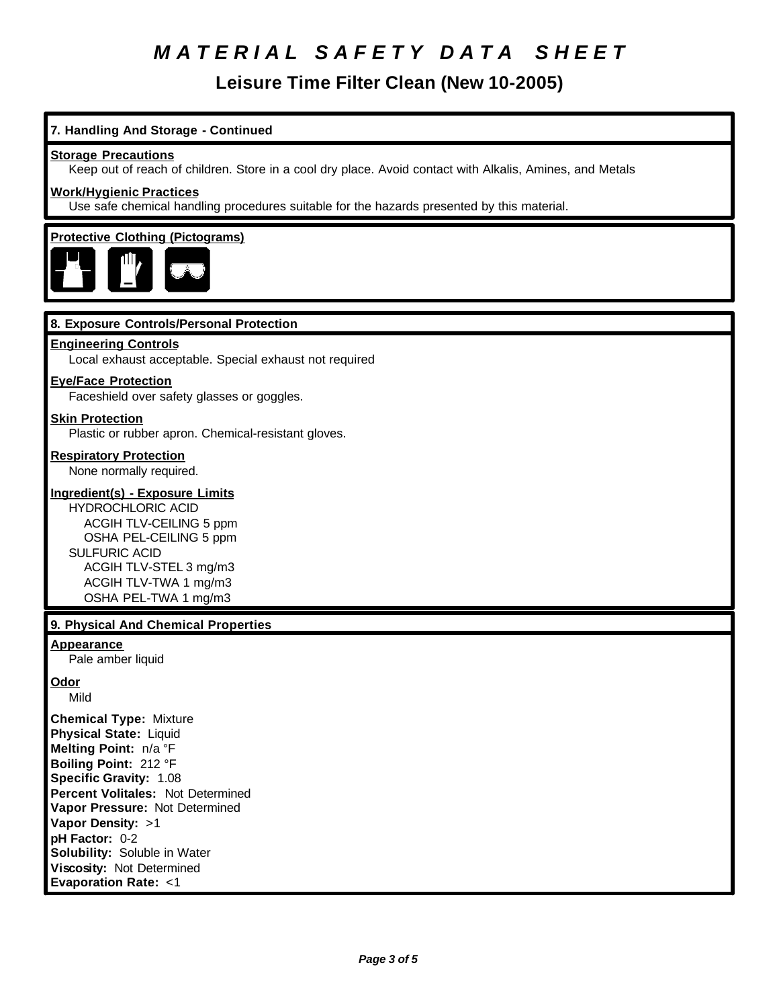**Leisure Time Filter Clean (New 10-2005)**

# **7. Handling And Storage - Continued**

### **Storage Precautions**

Keep out of reach of children. Store in a cool dry place. Avoid contact with Alkalis, Amines, and Metals

### **Work/Hygienic Practices**

Use safe chemical handling procedures suitable for the hazards presented by this material.

# **Protective Clothing (Pictograms)**



# **8. Exposure Controls/Personal Protection**

#### **Engineering Controls**

Local exhaust acceptable. Special exhaust not required

#### **Eye/Face Protection**

Faceshield over safety glasses or goggles.

#### **Skin Protection**

Plastic or rubber apron. Chemical-resistant gloves.

### **Respiratory Protection**

None normally required.

### **Ingredient(s) - Exposure Limits**

HYDROCHLORIC ACID ACGIH TLV-CEILING 5 ppm OSHA PEL-CEILING 5 ppm SULFURIC ACID ACGIH TLV-STEL 3 mg/m3 ACGIH TLV-TWA 1 mg/m3 OSHA PEL-TWA 1 mg/m3

# **9. Physical And Chemical Properties**

### **Appearance**

Pale amber liquid

#### **Odor**

Mild

**Chemical Type:** Mixture **Physical State:** Liquid **Melting Point:** n/a °F **Boiling Point:** 212 °F **Specific Gravity:** 1.08 **Percent Volitales:** Not Determined **Vapor Pressure:** Not Determined **Vapor Density:** >1 **pH Factor:** 0-2 **Solubility:** Soluble in Water **Viscosity:** Not Determined **Evaporation Rate:** <1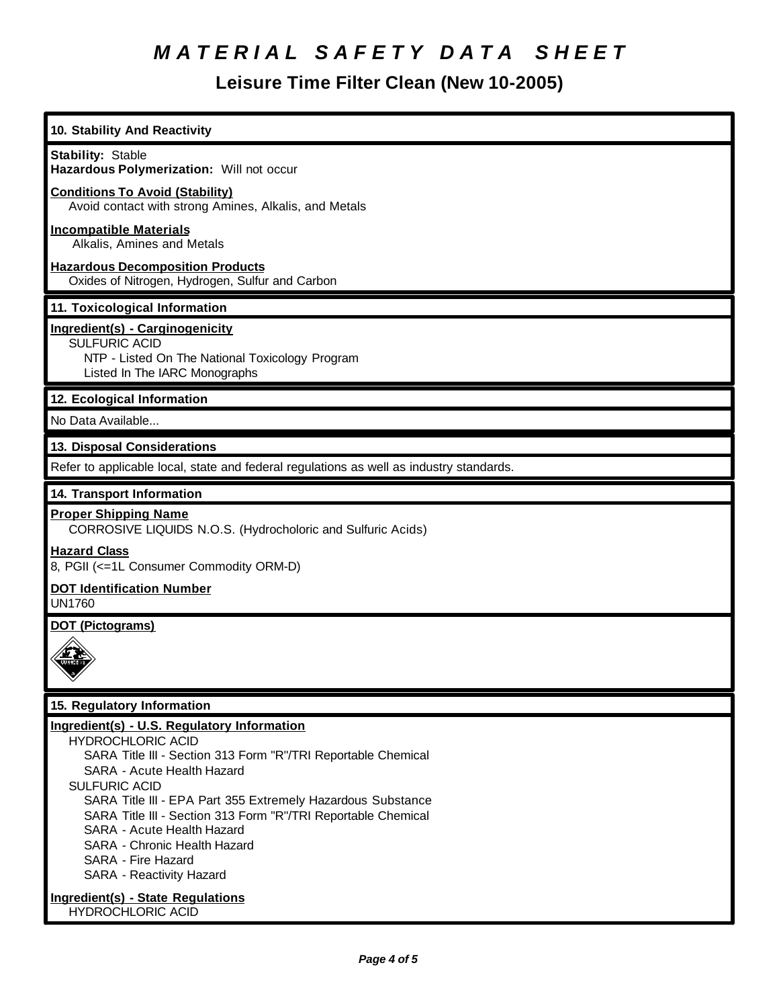# **Leisure Time Filter Clean (New 10-2005)**

| 10. Stability And Reactivity                                                                    |
|-------------------------------------------------------------------------------------------------|
| <b>Stability: Stable</b>                                                                        |
| Hazardous Polymerization: Will not occur                                                        |
| <b>Conditions To Avoid (Stability)</b><br>Avoid contact with strong Amines, Alkalis, and Metals |
| <b>Incompatible Materials</b><br>Alkalis, Amines and Metals                                     |
| <b>Hazardous Decomposition Products</b><br>Oxides of Nitrogen, Hydrogen, Sulfur and Carbon      |
| 11. Toxicological Information                                                                   |
| Ingredient(s) - Carginogenicity<br><b>SULFURIC ACID</b>                                         |
| NTP - Listed On The National Toxicology Program                                                 |
| Listed In The IARC Monographs                                                                   |
| 12. Ecological Information                                                                      |
| No Data Available                                                                               |
| 13. Disposal Considerations                                                                     |
| Refer to applicable local, state and federal regulations as well as industry standards.         |
| 14. Transport Information                                                                       |
| <b>Proper Shipping Name</b><br>CORROSIVE LIQUIDS N.O.S. (Hydrocholoric and Sulfuric Acids)      |
| <b>Hazard Class</b><br>8, PGII (<=1L Consumer Commodity ORM-D)                                  |
| <b>DOT Identification Number</b><br><b>UN1760</b>                                               |
| <b>DOT (Pictograms)</b>                                                                         |
|                                                                                                 |
| 15. Regulatory Information                                                                      |
| Ingredient(s) - U.S. Regulatory Information                                                     |
| <b>HYDROCHLORIC ACID</b>                                                                        |
| SARA Title III - Section 313 Form "R"/TRI Reportable Chemical                                   |
| SARA - Acute Health Hazard<br><b>SULFURIC ACID</b>                                              |
| SARA Title III - EPA Part 355 Extremely Hazardous Substance                                     |
| SARA Title III - Section 313 Form "R"/TRI Reportable Chemical                                   |
| SARA - Acute Health Hazard                                                                      |
| SARA - Chronic Health Hazard                                                                    |
| SARA - Fire Hazard<br>SARA - Reactivity Hazard                                                  |
| Ingredient(s) - State Regulations<br><b>HYDROCHLORIC ACID</b>                                   |